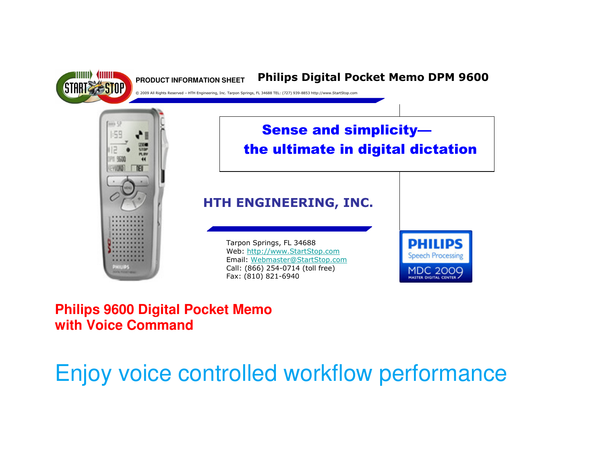

# **Philips 9600 Digital Pocket Memo with Voice Command**

# Enjoy voice controlled workflow performance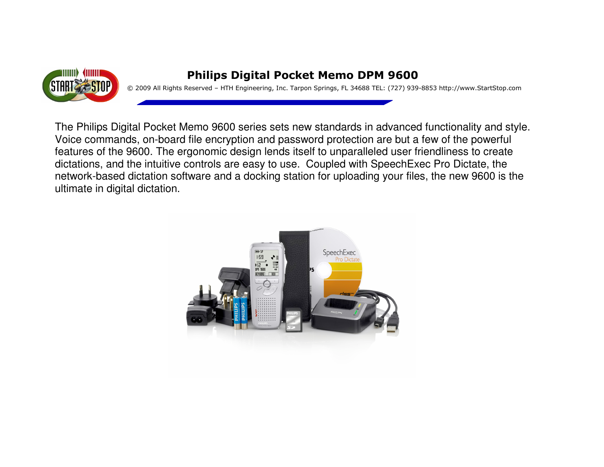

### Philips Digital Pocket Memo DPM 9600

© 2009 All Rights Reserved – HTH Engineering, Inc. Tarpon Springs, FL 34688 TEL: (727) 939-8853 http://www.StartStop.com

The Philips Digital Pocket Memo 9600 series sets new standards in advanced functionality and style. Voice commands, on-board file encryption and password protection are but a few of the powerful features of the 9600. The ergonomic design lends itself to unparalleled user friendliness to create dictations, and the intuitive controls are easy to use. Coupled with SpeechExec Pro Dictate, the network-based dictation software and a docking station for uploading your files, the new 9600 is the ultimate in digital dictation.

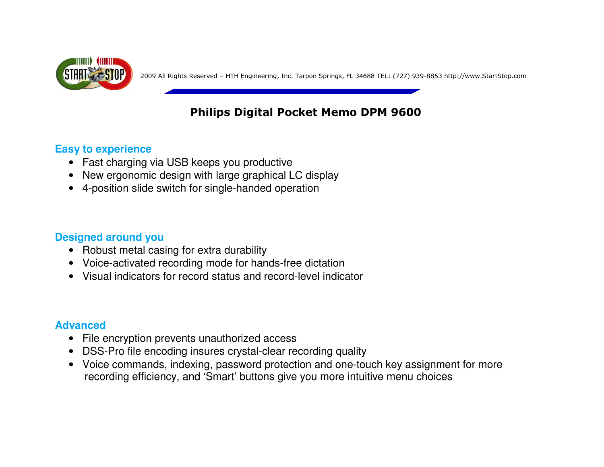

peec h2009 All Rights Reserved – HTH Engineering, Inc. Tarpon Springs, FL 34688 TEL: (727) 939-8853 http://www.StartStop.com

# Philips Digital Pocket Memo DPM 9600

### **Easy to experience**

- Fast charging via USB keeps you productive
- New ergonomic design with large graphical LC display
- 4-position slide switch for single-handed operation

## **Designed around you**

- Robust metal casing for extra durability
- Voice-activated recording mode for hands-free dictation
- Visual indicators for record status and record-level indicator

### **Advanced**

- File encryption prevents unauthorized access
- DSS-Pro file encoding insures crystal-clear recording quality
- Voice commands, indexing, password protection and one-touch key assignment for more recording efficiency, and 'Smart' buttons give you more intuitive menu choices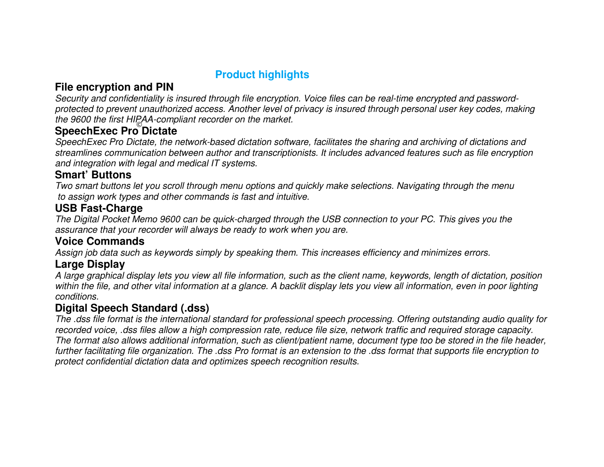### **Product highlights**

### **File encryption and PIN**

 Security and confidentiality is insured through file encryption. Voice files can be real-time encrypted and passwordprotected to prevent unauthorized access. Another level of privacy is insured through personal user key codes, making the 9600 the first HIPAA-compliant recorder on the market.

# **SpeechExec Pro Dictate** ©

 SpeechExec Pro Dictate, the network-based dictation software, facilitates the sharing and archiving of dictations and streamlines communication between author and transcriptionists. It includes advanced features such as file encryption and integration with legal and medical IT systems.

### **Smart' Buttons**

 Two smart buttons let you scroll through menu options and quickly make selections. Navigating through the menu to assign work types and other commands is fast and intuitive.

### **USB Fast-Charge**

 The Digital Pocket Memo 9600 can be quick-charged through the USB connection to your PC. This gives you the assurance that your recorder will always be ready to work when you are.

### **Voice Commands**

Assign job data such as keywords simply by speaking them. This increases efficiency and minimizes errors.

### **Large Display**

 A large graphical display lets you view all file information, such as the client name, keywords, length of dictation, position within the file, and other vital information at a glance. A backlit display lets you view all information, even in poor lighting conditions.

### **Digital Speech Standard (.dss)**

 The .dss file format is the international standard for professional speech processing. Offering outstanding audio quality for recorded voice, .dss files allow a high compression rate, reduce file size, network traffic and required storage capacity. The format also allows additional information, such as client/patient name, document type too be stored in the file header, further facilitating file organization. The .dss Pro format is an extension to the .dss format that supports file encryption to protect confidential dictation data and optimizes speech recognition results.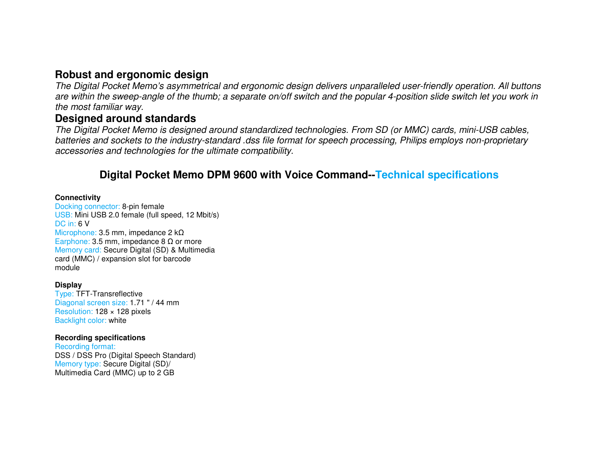### **Robust and ergonomic design**

 The Digital Pocket Memo's asymmetrical and ergonomic design delivers unparalleled user-friendly operation. All buttons are within the sweep-angle of the thumb; a separate on/off switch and the popular 4-position slide switch let you work in the most familiar way.

### **Designed around standards**

 The Digital Pocket Memo is designed around standardized technologies. From SD (or MMC) cards, mini-USB cables, batteries and sockets to the industry-standard .dss file format for speech processing, Philips employs non-proprietary accessories and technologies for the ultimate compatibility.

### **Digital Pocket Memo DPM 9600 with Voice Command--Technical specifications**

#### **Connectivity**

Docking connector: 8-pin female USB: Mini USB 2.0 female (full speed, 12 Mbit/s) DC in: 6 V Microphone: 3.5 mm, impedance 2 kΩ Earphone: 3.5 mm, impedance 8 Ω or more Memory card: Secure Digital (SD) & Multimedia card (MMC) / expansion slot for barcode module

#### **Display**

 Type: TFT-Transreflective Diagonal screen size: 1.71 " / 44 mm Resolution: 128 x 128 pixels Backlight color: white

#### **Recording specifications**

Recording format: DSS / DSS Pro (Digital Speech Standard) Memory type: Secure Digital (SD)/ Multimedia Card (MMC) up to 2 GB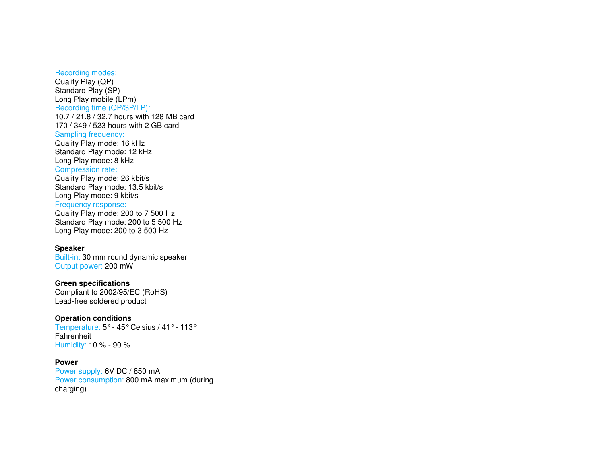#### Recording modes:

Quality Play (QP) Standard Play (SP) Long Play mobile (LPm) Recording time (QP/SP/LP): 10.7 / 21.8 / 32.7 hours with 128 MB card 170 / 349 / 523 hours with 2 GB card Sampling frequency: Quality Play mode: 16 kHz Standard Play mode: 12 kHz Long Play mode: 8 kHz

#### Compression rate:

 Quality Play mode: 26 kbit/s Standard Play mode: 13.5 kbit/s Long Play mode: 9 kbit/s Frequency response:

#### Quality Play mode: 200 to 7 500 Hz Standard Play mode: 200 to 5 500 Hz Long Play mode: 200 to 3 500 Hz

#### **Speaker**

 Built-in: 30 mm round dynamic speaker Output power: 200 mW

#### **Green specifications**

 Compliant to 2002/95/EC (RoHS) Lead-free soldered product

#### **Operation conditions**

 Temperature: 5° - 45° Celsius / 41° - 113° Fahrenheit Humidity: 10 % - 90 %

#### **Power**

Power supply: 6V DC / 850 mA Power consumption: 800 mA maximum (during charging)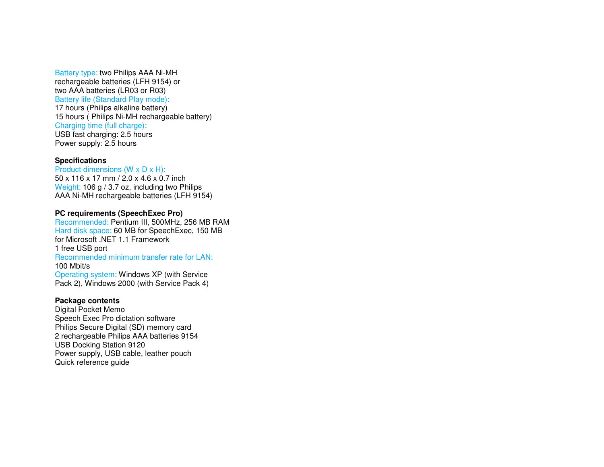#### Battery type: two Philips AAA Ni-MH rechargeable batteries (LFH 9154) or two AAA batteries (LR03 or R03)

Battery life (Standard Play mode):

17 hours (Philips alkaline battery) 15 hours ( Philips Ni-MH rechargeable battery) Charging time (full charge): USB fast charging: 2.5 hours Power supply: 2.5 hours

#### **Specifications**

 Product dimensions (W x D x H): 50 x 116 x 17 mm / 2.0 x 4.6 x 0.7 inch Weight: 106 g / 3.7 oz, including two Philips AAA Ni-MH rechargeable batteries (LFH 9154)

#### **PC requirements (SpeechExec Pro)**

Recommended: Pentium III, 500MHz, 256 MB RAM Hard disk space: 60 MB for SpeechExec, 150 MB for Microsoft .NET 1.1 Framework 1 free USB port Recommended minimum transfer rate for LAN: 100 Mbit/s Operating system: Windows XP (with Service Pack 2), Windows 2000 (with Service Pack 4)

#### **Package contents**

 Digital Pocket Memo Speech Exec Pro dictation software Philips Secure Digital (SD) memory card 2 rechargeable Philips AAA batteries 9154 USB Docking Station 9120 Power supply, USB cable, leather pouch Quick reference guide